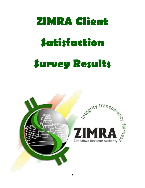# **ZIMRA Client Satisfaction Survey Results**

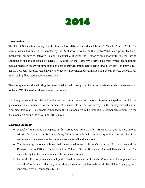

#### **Introduction:**

The Client Satisfaction Survey for the first half of 2014 was conducted from 27 May to 2 June 2014. The survey, which has since been adopted by the Zimbabwe Revenue Authority (ZIMRA) as a prime feedback mechanism on service delivery, is done biannually. It gives the Authority an opportunity to seek lasting solutions to the issues raised by clients. Key areas of the Authority's service delivery which are measured include reception on arrival, time spend on port of entry/reception before being served, officers' job knowledge, ZIMRA officers' attitude, responsiveness to queries, information dissemination and overall service delivery. All in all, eight pillars were under investigation.

The survey was conducted using the questionnaire method supported by terms of reference which were sent out to the all ZIMRA stations dotted around the country.

One thing to take note was the substantial increase in the number of respondents who managed to complete the questionnaires as compared to the number of respondents in the last survey. In the survey carried out in November last year, 1665 people responded to the questionnaires, but a total of 1963 respondents completed the questionnaires during the May-June 2014 survey.

#### **Executive summary:**

- A total of 51 stations participated in this survey with four (Charles Prince Airport, Joshua M. Nkomo Airport, Mt Selinda, and Bulawayo Port) failing to submit their completed questionnaires in spite of the reminders that were sent to the stations through e-mail and telephone.
- The following stations combined their questionnaires for both the Customs and Excise office and the Domestic Taxes Offices: Bindura Station, Chiredzi Office, Bindura Office and Hwange Office. The reason being that both sections share the same reception area.
- $\div$  Out of the 1963 respondents which participated in this survey, 1152 (58,7%) represented organisations; 769 (39,2%) indicated that they were doing business as individuals, while the "Other" category was represented by 42 respondents (2,1%).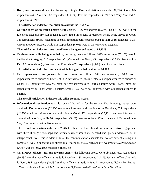**Reception on arrival** had the following ratings: Excellent 626 respondents (31,9%); Good 894 respondents (45,5%); Fair 387 respondents (19,7%); Poor 33 respondents (1,7%) and Very Poor had 23 respondents (1,2%).

#### **The satisfaction index for reception on arrival was 87,25%.**

 On **time spent at reception before being served**, 1166 respondents (59,4%) out of 1963 were in the Excellent category; 397 respondents (20,2%) rated time spend at reception before being served as Good; 183 respondents (9,3%) rated time spend at reception before being served as Fair; 99 respondents (5,0%) were in the Poor category while 118 respondents (6,0%) were in the Very Poor category.

#### **The satisfaction index for time spend before being served stood at 84,25%.**

 On **time spent while being attended to**, the ratings were as follows: 1023 respondents (52,1%) were in the Excellent category; 515 respondents (26,2%) rated it as Good; 259 respondents (13,2%) feel that it is Fair; 87 respondents (4,4%) rated it as Poor while 79 respondents (4,0%) rated it as Very Poor.

#### **The satisfaction index for time spent while being attended to stood at 84,90%.**

 On **responsiveness to queries** the scores were as follows: 540 interviewees (27,5%) scored responsiveness to queries as Excellent; 892 interviewees (45,4%) rated our responsiveness to queries as Good; 437 interviewees (22,3%) rated our responsiveness as Fair; 62 interviewees (3,2%) rated our responsiveness as Poor; while 32 interviewees (1,6%) were not impressed with our responsiveness to queries.

# **The overall satisfaction index for this pillar stood at 84,05%.**

 **Information dissemination** was also one of the pillars for the survey. The following ratings were obtained: 450 respondents (22,9%) scored our information dissemination as Excellent; 834 respondents (42,5%) rated our information dissemination as Good; 552 respondents (28,1%) rated our information dissemination as Fair, while 100 respondents (5,1%) rated us as Poor. 27 respondents (1,4%) rated us as Very Poor in information dissemination.

**The overall satisfaction index was 79,45%.** Clients feel we should do more interactive engagement with them through workshops and seminars where issues are debated and queries addressed on an interpersonal level. This in addition to all the communication channels that we are currently using at a corporate level, in engaging our clients like Facebook, [pr@ZIMRA.co.zw,](mailto:pr@zimra.co.zw) [webmaster@ZIMRA.co.zw,](mailto:webmaster@zimra.co.zw) twitter, website, *Revenews* magazine, fliers, etc.

 On **ZIMRA officers' attitude towards clients**, the following scores were obtained: 602 respondents (30,7%) feel that our officers' attitude is Excellent; 888 respondents (45,2%) feel that officers' attitude is Good; 394 respondents (20,1%) said our officers' attitude is Fair; 58 respondents (3,0%) feel that our officers' attitude is Poor, while 21 respondents (1,1%) scored officers' attitude as Very Poor.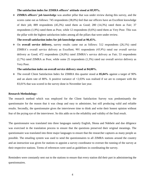#### **The satisfaction index for ZIMRA officers' attitude stood at 85,95%.**

 **ZIMRA officers' job knowledge** was another pillar that was under review during this survey, and the scores came out as follows: 745 respondents (38,0%) feel that our officers have an Excellent knowledge of their job; 889 respondents (45,3%) rated them as Good; 280 (14,3%) rated them as Fair; 37 respondents (1,9%) rated them as Poor, while 12 respondents (0,6%) rated them as Very Poor. This was the pillar with the highest satisfaction index among all the pillars that were under review.

**The overall satisfaction index for job knowledge stood at 90,45%.**

 On **overall service delivery,** survey results came out as follows: 512 respondents (26,1%) rated ZIMRA's overall service delivery as Excellent; 901 respondents (45,9%) rated our overall service delivery as Good; 472 respondents (24,0%) rated ZIMRA's service delivery as Fair; 53 respondents (2,7%) rated ZIMRA as Poor, while some 25 respondents (1,3%) rated our overall service delivery as Very Poor.

#### **The satisfaction index on overall service delivery stood at 84,00%.**

 The overall Client Satisfaction Index for ZIMRA this quarter stood at **85,04%** against a target of 90% and an alarm rate of 80%. A positive variance of  $+2.03\%$  was realised if we are to compare with the 83,01% that was scored in the survey done in November last year.

#### **Research Methodology:**

The research method which was employed for the Client Satisfaction Survey was predominantly the questionnaire for the reason that it was cheap and easy to administer, but still producing valid and reliable results. Secondly, the questionnaire gives the interviewee time to think and write their honest opinion without fear of the prying eye of the interviewer. So this adds on to the reliability and validity of the final result.

The questionnaire was translated into three languages namely English, Shona and Ndebele and due diligence was exercised in the translation process to ensure that the questions preserved their original meanings. The questionnaire was translated into three major languages to ensure that the researcher captures as many people as possible. The emailing system was used to send the questionnaires to all ZIMRA stations around the country and an instruction was given for stations to appoint a survey coordinator to oversee the running of the survey at their respective stations. Terms of references were used as guidelines in coordinating the survey.

Reminders were constantly sent out to the stations to ensure that every station did their part in administering the questionnaires.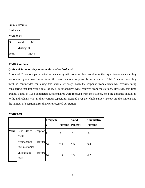# **Survey Results:**

# **Statistics**

VAR00001

|      | Valid     | 1963  |
|------|-----------|-------|
|      | Missing 0 |       |
| Mean |           | 31.48 |

# **ZIMRA stations:**

# *Q: At which station do you normally conduct business?*

A total of 51 stations participated in this survey with some of them combining their questionnaires since they use one reception area. But all in all this was a massive response from the various ZIMRA stations and they must be commended for taking this survey seriously. Even the response from clients was overwhelming considering that last year a total of 1665 questionnaires were received from the stations. However, this time around, a total of 1963 completed questionnaires were received from the stations. So a big applause should go to the individuals who, in their various capacities, presided over the whole survey. Below are the stations and the number of questionnaires that were received per station.

|                             | Frequenc |                | <b>Valid</b>   | <b>Cumulative</b> |
|-----------------------------|----------|----------------|----------------|-------------------|
|                             |          | <b>Percent</b> | <b>Percent</b> | <b>Percent</b>    |
| Valid Head Office Reception | 11       | .6             | .6             | .6                |
| Area:                       |          |                |                |                   |
| <b>Border</b><br>Nyamapanda | 56       | 2.9            | 2.9            | 3.4               |
| Post Customs:               |          |                |                |                   |
| Mukumbura<br><b>Border</b>  | 26       | 1.3            | 1.3            | 4.7               |
| Post:                       |          |                |                |                   |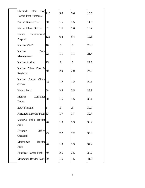| Chirundu<br>Stop<br>One<br><b>Border Post Customs:</b> | 110 | 5.6 | 5.6               | 10.3 |
|--------------------------------------------------------|-----|-----|-------------------|------|
| Kariba Border Post:                                    | 30  | 1.5 | 1.5               | 11.9 |
| Kariba Inland Office:                                  | 31  | 1.6 | 1.6               | 13.4 |
| Harare<br>International<br>Airport:                    | 125 | 6.4 | 6.4               | 19.8 |
| Kurima VAT:                                            | 10  | .5  | .5                | 20.3 |
| Kurima<br>Debt<br>Management:                          | 22  | 1.1 | 1.1               | 21.4 |
| Kurima Audits:                                         | 15  | .8  | $\boldsymbol{.8}$ | 22.2 |
| Kurima Client Care &<br>Registry:                      | 40  | 2.0 | 2.0               | 24.2 |
| Kurima<br>Large<br>Client<br>Office:                   | 23  | 1.2 | 1.2               | 25.4 |
| Harare Port:                                           | 68  | 3.5 | 3.5               | 28.9 |
| Manica<br>Container<br>Depot:                          | 30  | 1.5 | 1.5               | 30.4 |
| <b>BAK</b> Storage:                                    | 6   | .3  | $\cdot$ 3         | 30.7 |
| Kazungula Border Post:                                 | 33  | 1.7 | 1.7               | 32.4 |
| <b>Border</b><br>Victoria Falls<br>Post:               | 26  | 1.3 | 1.3               | 33.7 |
| Office<br>Hwange<br>Customs:                           | 43  | 2.2 | 2.2               | 35.9 |
| Maitengwe<br><b>Border</b><br>Post:                    | 26  | 1.3 | 1.3               | 37.2 |
| <b>Plumtree Border Post:</b>                           | 49  | 2.5 | 2.5               | 39.7 |
| Mphoengs Border Post: 29                               |     | 1.5 | 1.5               | 41.2 |
|                                                        |     |     |                   |      |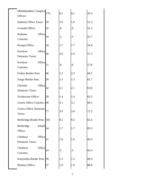| Mhlahlandlela Complex<br>Offices:            | 179 | 9.1                     | 9.1               | 50.3 |
|----------------------------------------------|-----|-------------------------|-------------------|------|
| Kadoma Office Taxes:                         | 20  | 1.0                     | 1.0               | 51.3 |
| Gwanda Office:                               | 16  | $\overline{\mathbf{8}}$ | $\boldsymbol{.8}$ | 52.2 |
| Kadoma<br>Office<br>Customs:                 | 10  | .5                      | .5                | 52.7 |
| Rusape Office:                               | 34  | 1.7                     | 1.7               | 54.4 |
| Kwekwe<br>Office<br><b>Domestic Taxes:</b>   | 56  | 2.9                     | 2.9               | 57.3 |
| Kwekwe<br>Office<br>Customs:                 | 11  | .6                      | .6                | 57.8 |
| Forbes Border Post:                          | 46  | 2.3                     | 2.3               | 60.2 |
| Sango Border Post:                           | 30  | 1.5                     | 1.5               | 61.7 |
| Office<br>Chiredzi<br><b>Domestic Taxes:</b> | 42  | 2.1                     | 2.1               | 63.8 |
| Zvishavane Office:                           | 28  | 1.4                     | 1.4               | 65.3 |
| Gweru Office Customs:                        | 60  | 3.1                     | 3.1               | 68.3 |
| <b>Gweru Office Domestic</b><br>Taxes:       | 77  | 3.9                     | 3.9               | 72.2 |
| Beitbridge Border Post: 183                  |     | 9.3                     | 9.3               | 81.6 |
| Beitbridge<br>Inland<br>Office:              | 34  | 1.7                     | 1.7               | 83.3 |
| Office<br>Chinhoyi<br><b>Domestic Taxes:</b> | 31  | 1.6                     | 1.6               | 84.9 |
| Office<br>Chinhoyi<br>Customs:               | 10  | .5                      | .5                | 85.4 |
| Kanyemba Border Post: 30                     |     | 1.5                     | 1.5               | 86.9 |
| <b>Bindura Office:</b>                       | 37  | 1.9                     | 1.9               | 88.8 |
|                                              |     |                         |                   |      |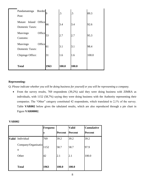| <b>Total</b>                               |               | 1963 | 100.0 | 100.0 |       |
|--------------------------------------------|---------------|------|-------|-------|-------|
| Chipinge Office:                           |               | 31   | 1.6   | 1.6   | 100.0 |
| Masvingo<br><b>Domestic Taxes:</b>         | Office        | 61   | 3.1   | 3.1   | 98.4  |
| Masvingo<br>Customs:                       | Office        | 53   | 2.7   | 2.7   | 95.3  |
| Inland<br>Mutare<br><b>Domestic Taxes:</b> | Office        | 66   | 3.4   | 3.4   | 92.6  |
| Pandamatenga<br>Post:                      | <b>Border</b> |      | .5    | .5    | 89.3  |

# **Representing:**

Q: *Please indicate whether you will be doing business for yourself or you will be representing a company.*

 From the survey results, 769 respondents (39,2%) said they were doing business with ZIMRA as individuals, with 1152 (58,7%) saying they were doing business with the Authority representing their companies. The "Other" category constituted 42 respondents, which translated to 2,1% of the survey. Table **VAR002** below gives the tabulated results, which are also reproduced through a pie chart in Figure **VAR00002**.

|                          | Frequenc |                | <b>Valid</b>   | <b>Cumulative</b> |
|--------------------------|----------|----------------|----------------|-------------------|
|                          |          | <b>Percent</b> | <b>Percent</b> | <b>Percent</b>    |
| Valid Individual         | 769      | 39.2           | 39.2           | 39.2              |
| Company/Organisatio<br>n | 1152     | 58.7           | 58.7           | 97.9              |
| Other                    | 42       | 2.1            | 2.1            | 100.0             |
| <b>Total</b>             | 1963     | 100.0          | 100.0          |                   |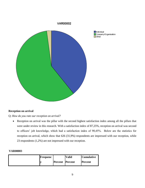

 $\Box$ Individual Company/Organisation  $\Box$ Other

# **Reception on arrival**

Q: *How do you rate our reception on arrival?*

• Reception on arrival was the pillar with the second highest satisfaction index among all the pillars that were under review in this research. With a satisfaction index of 87,25%, reception on arrival was second to officers' job knowledge, which had a satisfaction index of 90,45%. Below are the statistics for reception on arrival, which show that 626 (31,9%) respondents are impressed with our reception, while 23 respondents (1,2%) are not impressed with our reception.

| <b>Frequenc</b> |                        | Valid | <b>Cumulative</b> |
|-----------------|------------------------|-------|-------------------|
|                 | <b>Percent</b> Percent |       | <b>Percent</b>    |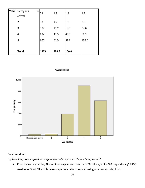| Valid Reception<br>on<br>arrival | 23   | 1.2   | 1.2   | 1.2   |
|----------------------------------|------|-------|-------|-------|
| $\overline{2}$                   | 33   | 1.7   | 1.7   | 2.9   |
| 3                                | 387  | 19.7  | 19.7  | 22.6  |
| $\overline{4}$                   | 894  | 45.5  | 45.5  | 68.1  |
| 5                                | 626  | 31.9  | 31.9  | 100.0 |
|                                  |      |       |       |       |
| <b>Total</b>                     | 1963 | 100.0 | 100.0 |       |

#### VAR00003



# **Waiting time:**

Q: *How long do you spend at reception/port of entry or exit before being served?*

• From the survey results, 59,4% of the respondents rated us as Excellent, while 397 respondents (20,2%) rated us as Good. The table below captures all the scores and ratings concerning this pillar.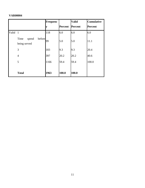|       |                                         | <b>Frequenc</b> |                | <b>Valid</b>   | <b>Cumulative</b> |
|-------|-----------------------------------------|-----------------|----------------|----------------|-------------------|
|       |                                         | v               | <b>Percent</b> | <b>Percent</b> | <b>Percent</b>    |
| Valid | $\overline{1}$                          | 118             | 6.0            | 6.0            | 6.0               |
|       | before<br>Time<br>spend<br>being served | 99              | 5.0            | 5.0            | 11.1              |
|       | 3                                       | 183             | 9.3            | 9.3            | 20.4              |
|       | $\overline{4}$                          | 397             | 20.2           | 20.2           | 40.6              |
|       | 5                                       | 1166            | 59.4           | 59.4           | 100.0             |
|       |                                         |                 |                |                |                   |
|       | <b>Total</b>                            | 1963            | 100.0          | 100.0          |                   |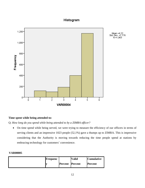# Histogram



# **Time spent while being attended to:**

Q: *How long do you spend while being attended to by a ZIMRA officer?*

 On time spend while being served, we were trying to measure the efficiency of our officers in terms of serving clients and an impressive 1023 people (52,1%) gave a thumps up to ZIMRA. This is impressive considering that the Authority is moving towards reducing the time people spend at stations by embracing technology for customers' convenience.

| <b>Frequenc</b> |                        | Valid | <b>Cumulative</b> |
|-----------------|------------------------|-------|-------------------|
|                 | <b>Percent</b> Percent |       | <b>Percent</b>    |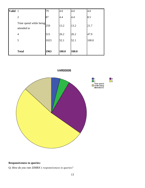| <b>Valid</b> | $\mathbf{1}$                          | 79   | 4.0   | 4.0   | 4.0   |
|--------------|---------------------------------------|------|-------|-------|-------|
|              | $\overline{2}$                        | 87   | 4.4   | 4.4   | 8.5   |
|              | Time spend while being<br>attended to | 259  | 13.2  | 13.2  | 21.7  |
|              | $\overline{4}$                        | 515  | 26.2  | 26.2  | 47.9  |
|              | 5                                     | 1023 | 52.1  | 52.1  | 100.0 |
|              |                                       |      |       |       |       |
|              | <b>Total</b>                          | 1963 | 100.0 | 100.0 |       |



# **VAR00005**

 $\frac{14}{5}$ 

# **Responsiveness to queries:**

Q: *How do you rate ZIMRA's responsiveness to queries?*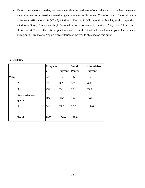On responsiveness to queries, we were measuring the readiness of our officers to assist clients whenever they have queries or questions regarding general matters or Taxes and Customs issues. The results came as follows: 540 respondents (27,5%) rated us as Excellent; 829 respondents (45,4%) of the respondents rated us as Good; 32 respondents (1,6%) rated our responsiveness to queries as Very Poor. These results show that 1432 out of the 1963 respondents rated us in the Good and Excellent category. The table and histogram below show a graphic representation of the results obtained on this pillar.

|              |                                 | <b>Frequenc</b> |                | <b>Valid</b> | <b>Cumulative</b> |
|--------------|---------------------------------|-----------------|----------------|--------------|-------------------|
|              |                                 | V               | <b>Percent</b> | Percent      | <b>Percent</b>    |
| <b>Valid</b> | $\mathbf{1}$                    | 32              | 1.6            | 1.6          | 1.6               |
|              | $\overline{2}$                  | 62              | 3.2            | 3.2          | 4.8               |
|              | 3                               | 437             | 22.3           | 22.3         | 27.1              |
|              | Responsiveness<br>to<br>queries | 892             | 45.4           | 45.4         | 72.5              |
|              | 5                               | 540             | 27.5           | 27.5         | 100.0             |
|              |                                 |                 |                |              |                   |
|              | <b>Total</b>                    | 1963            | 100.0          | 100.0        |                   |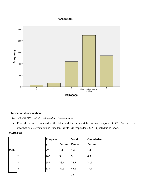# **VAR00006**



# **Information dissemination:**

Q: *How do you rate ZIMRA's information dissemination?*

• From the results contained in the table and the pie chart below, 450 respondents (22,9%) rated our information dissemination as Excellent, while 834 respondents (42,5%) rated us as Good.

|              |                | <b>Frequenc</b> |                | <b>Valid</b>   | <b>Cumulative</b> |
|--------------|----------------|-----------------|----------------|----------------|-------------------|
|              |                |                 | <b>Percent</b> | <b>Percent</b> | <b>Percent</b>    |
| <b>Valid</b> | $\mathbf{1}$   | 27              | 1.4            | 1.4            | 1.4               |
|              | $\overline{2}$ | 100             | 5.1            | 5.1            | 6.5               |
|              | 3              | 552             | 28.1           | 28.1           | 34.6              |
|              | 4              | 834             | 42.5           | 42.5           | 77.1              |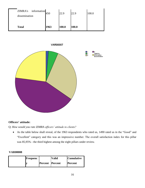

# **Officers' attitude:**

Q: *How would you rate ZIMRA officers' attitude to clients?*

 As the table below shall reveal, of the 1963 respondents who rated us, 1490 rated us in the "Good" and "Excellent" category and this was an impressive number. The overall satisfaction index for this pillar was 85,95% - the third highest among the eight pillars under review.

| Frequenc |                        | <b>Valid</b> | Cumulative     |
|----------|------------------------|--------------|----------------|
|          | <b>Percent</b> Percent |              | <b>Percent</b> |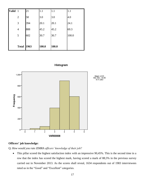| <b>Valid</b> | $\mathbf{1}$      | 21  | 1.1   | 1.1   | 1.1   |
|--------------|-------------------|-----|-------|-------|-------|
|              | $\overline{2}$    | 58  | 3.0   | 3.0   | 4.0   |
|              | 3                 | 394 | 20.1  | 20.1  | 24.1  |
|              | 4                 | 888 | 45.2  | 45.2  | 69.3  |
|              | 5                 | 602 | 30.7  | 30.7  | 100.0 |
|              |                   |     |       |       |       |
|              | <b>Total 1963</b> |     | 100.0 | 100.0 |       |





#### **Officers' job knowledge:**

Q: *How would you rate ZIMRA officers' knowledge of their job?*

• This pillar scored the highest satisfaction index with an impressive 90,45%. This is the second time in a row that the index has scored the highest mark, having scored a mark of 88,5% in the previous survey carried out in November 2013. As the scores shall reveal, 1634 respondents out of 1983 interviewees rated us in the "Good" and "Excellent" categories.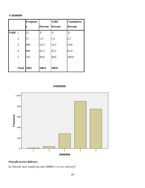# **VAR00009**

|              |                   | <b>Frequenc</b> |         | <b>Valid</b> | <b>Cumulative</b> |
|--------------|-------------------|-----------------|---------|--------------|-------------------|
|              |                   | y               | Percent | Percent      | <b>Percent</b>    |
| <b>Valid</b> | $\overline{1}$    | 12              | .6      | .6           | .6                |
|              | $\overline{2}$    | 37              | 1.9     | 1.9          | 2.5               |
|              | 3                 | 280             | 14.3    | 14.3         | 16.8              |
|              | $\overline{4}$    | 889             | 45.3    | 45.3         | 62.0              |
|              | 5                 | 745             | 38.0    | 38.0         | 100.0             |
|              |                   |                 |         |              |                   |
|              | <b>Total 1963</b> |                 | 100.0   | 100.0        |                   |

VAR00009



# **Overall service delivery:**

Q: *Overall, how would you rate ZIMRA's service delivery?*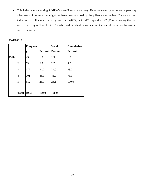• This index was measuring ZIMRA's overall service delivery. Here we were trying to encompass any other areas of concern that might not have been captured by the pillars under review. The satisfaction index for overall service delivery stood at 84,00%, with 512 respondents (26,1%) indicating that our service delivery is "Excellent." The table and pie chart below sum up the rest of the scores for overall service delivery.

|              |                | Frequenc |         | <b>Valid</b> | <b>Cumulative</b> |
|--------------|----------------|----------|---------|--------------|-------------------|
|              |                | V        | Percent | Percent      | <b>Percent</b>    |
| <b>Valid</b> | $\mathbf{1}$   | 25       | 1.3     | 1.3          | 1.3               |
|              | $\overline{2}$ | 53       | 2.7     | 2.7          | 4.0               |
|              | 3              | 472      | 24.0    | 24.0         | 28.0              |
|              | 4              | 901      | 45.9    | 45.9         | 73.9              |
|              | 5              | 512      | 26.1    | 26.1         | 100.0             |
|              |                |          |         |              |                   |
|              | <b>Total</b>   | 1963     | 100.0   | 100.0        |                   |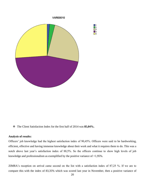

The Client Satisfaction Index for the first half of 2014 was **85,04%.**

#### **Analysis of results:**

Officers' job knowledge had the highest satisfaction index of 90,45%. Officers were said to be hardworking, efficient, effective and having immense knowledge about their work and what it requires them to do. This was a notch above last year's satisfaction index of 88,5%. So the officers continue to show high levels of job knowledge and professionalism as exemplified by the positive variance of +1,95%.

ZIMRA's reception on arrival came second on the list with a satisfaction index of 87,25 %. If we are to compare this with the index of 83,35% which was scored last year in November, then a positive variance of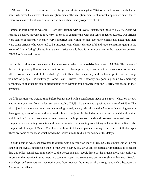+3,9% was realised. This is reflective of the general desire amongst ZIMRA officers to make clients feel at home whenever they arrive at our reception areas. The reception area is of utmost importance since that is where we make or break our relationship with our clients and prospective clients.

Coming on third position was ZIMRA officers' attitude with an overall satisfaction index of 85,95%. Again we realised a positive movement of +3,65%, if one is to compare this with last year's index of 82,30%. Our officers were said to be generally friendly, very supportive and willing to help. However, clients also noted that there were some officers who were said to be impatient with clients, disrespectful and rude; sometimes going to the extent of "intimidating" clients. But as the statistics reveal, there is an improvement in the interaction between ZIMRA officers and clients.

On fourth position was time spent while being served which had a satisfaction index of 84,90%. This is one of the most important pillars which our stations need to also improve on, as we seek to decongest our borders and offices. We are also mindful of the challenges that officers face, especially at those border posts that serve large volumes of people like Beitbridge Border Post. However, the Authority has gone a gear up by embracing technology so that people can do transactions even without going physically to the ZIMRA stations to do their payments.

On fifth position was waiting time before being served with a satisfaction index of 84,25% - which on its own was an improvement from the last survey's result of 77,5%. So there was a positive variance of +6,75%. This pillar, just like the one on time spent while being served, is very critical since the Authority is working towards decongesting ports of entry and exit. And this massive jump in the index is a sign in the positive direction, which in itself, shows that there is great potential for improvement. It should however, be noted that, most complains were coming from truck drivers who said the scanning was taking a lot of time. Clients also complained of delays at Manica Warehouse with most of the complaints pointing to an issue of staff shortages. These are some of the areas which need to be looked into to find out the source of the delays.

On sixth position was responsiveness to queries with a satisfaction index of 84,05%. This index was within the range of the overall satisfaction index of the whole survey (85,03%). But of particular importance is to realise that this pillar contributes immensely to the perception that people have of the organisation. Our ability to respond to their queries in time helps to create the rapport and strengthens our relationship with clients. Regular workshops and seminars can positively contribute towards the creation of a strong relationship between the Authority and clients.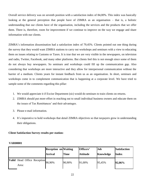Overall service delivery was on seventh position with a satisfaction index of 84,00%. This index was basically looking at the general perception that people have of ZIMRA as an organisation – that is, a holistic understanding that our clients have of the organisation, including the services and the products that we offer them. There is, therefore, room for improvement if we continue to improve on the way we engage and share information with our clients.

ZIMRA's information dissemination had a satisfaction index of 79,45%. Clients pointed out one thing during the survey that they would want ZIMRA stations to carry out workshops and seminars with a view to educating them on issues relating to Customs or Taxes. It is true that we are very visible in the newspapers, on television and radio, Twitter, Facebook, and many other platforms. But clients feel this is not enough since some of them do not always buy newspapers. So seminars and workshops could fill up the communication gap. Also considering that workshops are more interactive and they allow for interpersonal communication without the barrier of a medium. Clients yearn for instant feedback from us as an organisation. In short, seminars and workshops come in to complement communication that is happening at a corporate level. We have tried to sample some of the comments regarding this pillar:

- 1. We would appreciate it if Excise Department (sic) would do seminars to train clients on returns.
- 2. ZIMRA should put more effort in reaching out to small individual business owners and educate them on the issues of Tax Remittances' and their advantages.
- 3. Please e-mail information.
- 4. It's imperative to hold workshops that detail ZIMRA objectives so that taxpayers grow in understanding their obligations.

# **Client Satisfaction Survey results per station:**

|                                      | <b>Reception on Waiting</b><br><b>Arrival</b> | <b>Time</b> | Officers'<br><b>Attitude</b> | Job<br>Knowledge | <b>Satisfaction</b><br><b>Index</b> |
|--------------------------------------|-----------------------------------------------|-------------|------------------------------|------------------|-------------------------------------|
| Valid Head Office Reception<br>Area: | 90,90%                                        | 90,90%      | 91,00%                       | 95,45%           | 92,06%                              |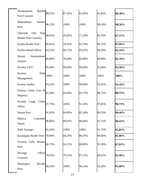| Nyamapanda<br><b>Border</b><br>Post Customs:           | 89,25% | 87,45% | 91,95% | 92,85% | 90,38% |
|--------------------------------------------------------|--------|--------|--------|--------|--------|
| Mukumbura<br><b>Border</b><br>Post:                    | 96,15% | 100%   | 100%   | 98,10% | 98,56% |
| Stop<br>Chirundu<br>One<br><b>Border Post Customs:</b> | 68,65% | 45,85% | 71,40% | 82,70% | 67,15% |
| Kariba Border Post:                                    | 85,05% | 78,35% | 91,70% | 96,75% | 87,96% |
| Kariba Inland Office:                                  | 93,55% | 96,75% | 93,55% | 98,30% | 95,54% |
| International<br>Harare<br>Airport:                    | 84,80% | 76,40% | 82,80% | 86,80% | 82,70% |
| Kurima VAT:                                            | 95,00% | 90,00% | 90,00% | 95,00% | 92,50% |
| Kurima<br>Debt<br>Management:                          | 100%   | 100%   | 100%   | 100%   | 100%   |
| Kurima Audits:                                         | 93,35% | 100%   | 90,00% | 93,35% | 94,18% |
| Kurima Client Care &<br>Registry:                      | 87,50% | 95,00% | 83,75% | 88,75% | 88,75% |
| Client<br>Kurima<br>Large<br>Office:                   | 97,75% | 100%   | 91,30% | 97,85% | 96,73% |
| Harare Port:                                           | 91,95% | 94,90% | 85,30% | 89,70% | 90,46% |
| Container<br>Manica<br>Depot:                          | 90,00% | 89,95% | 90,00% | 91,75% | 90,43% |
| <b>BAK</b> Storage:                                    | 91,65% | 100%   | 100%   | 91,75% | 95,85% |
| Kazungula Border Post: 78,80%                          |        | 68,20% | 86,35% | 90,90% | 81,06% |
| Victoria Falls<br>Border<br>Post:                      | 82,75% | 92,25% | 80,80% | 92,30% | 87,03% |
| Office<br>Hwange<br>Customs:                           | 70,05% | 79,15% | 87,15% | 89,55% | 81,48% |
| Maitengwe<br><b>Border</b><br>Post:                    | 94,25% | 100%   | 96,15% | 92,30% | 95,68% |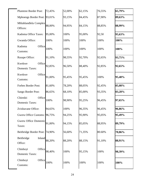| <b>Plumtree Border Post:</b>                 | 72,45% | 52,00% | 62,15% | 76,55% | 65,79% |
|----------------------------------------------|--------|--------|--------|--------|--------|
| Mphoengs Border Post: 93,01%                 |        | 93,15% | 84,45% | 87,90% | 89,63% |
| Mhlahlandlela Complex<br>Offices:            | 88,00% | 94,95% | 84,15% | 88,85% | 88,99% |
| Kadoma Office Taxes:                         | 95,00% | 100%   | 95,00% | 92,50  | 95,63% |
| Gwanda Office:                               | 100%   | 100%   | 100%   | 100%   | 100%   |
| Kadoma<br>Office<br>Customs:                 | 100%   | 100%   | 100%   | 100%   | 100%   |
| Rusape Office:                               | 91,10% | 98,55% | 92,70% | 92,65% | 93,75% |
| Kwekwe<br>Office<br><b>Domestic Taxes:</b>   | 92,85% | 96,50% | 88,40% | 92,85% | 92,65% |
| Kwekwe<br>Office<br>Customs:                 | 91,00% | 95,45% | 95,45% | 100%   | 95,48% |
| Forbes Border Post:                          | 81,60% | 78,20% | 88,05% | 92,45% | 85,08% |
| Sango Border Post:                           | 86,65% | 68,10% | 85,00% | 93,35% | 83,28% |
| Chiredzi<br>Office<br><b>Domestic Taxes:</b> | 100%   | 98,90% | 95,25% | 96,45% | 97,65% |
| Zvishavane Office:                           | 94,65% | 100%   | 96,35% | 96,45% | 96,86% |
| Gweru Office Customs: 96,75%                 |        | 94,25% | 95,90% | 95,05% | 95,49% |
| <b>Gweru Office Domestic</b><br>Taxes:       | 91,00% | 94,15% | 85,05% | 88,95% | 89,79% |
| Beitbridge Border Post: 74,90%               |        | 56,60% | 71,35% | 80.60% | 70,86% |
| Beitbridge<br>Inland<br>Office:              | 88,20% | 88,20% | 88,15% | 91,10% | 88,91% |
| Chinhoyi<br>Office<br><b>Domestic Taxes:</b> | 98,40% | 100%   | 95,15% | 100%   | 98,39% |
| Office<br>Chinhoyi<br>Customs:               | 100%   | 100%   | 100%   | 100%   | 100%   |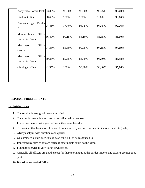| Kanyemba Border Post: 93,35%                         |        | 95,00% | 95,00% | 98,25% | 95,40% |
|------------------------------------------------------|--------|--------|--------|--------|--------|
| <b>Bindura Office:</b>                               | 98,65% | 100%   | 100%   | 100%   | 99,66% |
| Pandamatenga<br>Border<br>Post:                      | 94,45% | 77,70% | 94,45% | 94,45% | 90,26% |
| Inland<br>Office<br>Mutare<br><b>Domestic Taxes:</b> | 86,40% | 90,15% | 84,10% | 83,35% | 86,00% |
| Office<br>Masvingo<br>Customs:                       | 94,35% | 85,80% | 99,05% | 97,15% | 94,09% |
| Office<br>Masvingo<br><b>Domestic Taxes:</b>         | 89,35% | 89,35% | 83,70% | 93,50% | 88,98% |
| Chipinge Office:                                     | 91,95% | 100%   | 90,40% | 98,30% | 95,16% |
|                                                      |        |        |        |        |        |

# **RESPONSE FROM CLIENTS**

# **Beitbridge Town**

- 1. The service is very good, we are satisfied.
- 2. Their performance is good due to the officer whom we see.
- 3. I have been served with good officers, they were friendly.
- 4. To consider that business is low on clearance activity and review time limits to settle debts (audit).
- 5. Always helpful with questions and queries.
- 6. On commercial side queries take days for a F45 to be responded to.
- 7. Impressed by service at town office if other points could do the same.
- 8. I think the service is very fair at town office.
- 9. Generally all officers are good except for those serving us at the border imports and exports are not good at all.
- 10. Bayazi umsebenzi eZIMRA.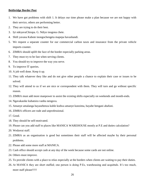## **Beitbridge Border Post**

- 1. We have got problems with shift 1. It delays our time please make a plan because we are not happy with their service, others are performing better.
- 2. They are trying to do their best.
- 3. Iyi ndeyavaChirapa. G. Ndiyo inogona chete.
- 4. Shift yavana Kabote inongochengeta mapepa havashandi.
- 5. We request a separate counter for our commercial carbon taxes and insurance from the private vehicle imports counter.
- 6. ZIMRA should uplift the face of the border especially parking areas.
- 7. They must try to be fast when serving clients.
- 8. You should try to improve the way you serve.
- 9. To improve IT queries.
- 10. A job well done. Keep it up.
- 11. They talk whatever they like and do not give other people a chance to explain their case or issues to be solved.
- 12. They will attend to us if we are nice or correspondent with them. They will turn and go without specific reason.
- 13. ZIMRA must add more manpower to assist the existing shifts especially on weekends and month-ends.
- 14. Ngavakasike kubatsira vanhu nenguva.
- 15. Amanye amalanga bayasebenza kuhle kodwa amanye kunzima, bayabe bengani abafuni.
- 16. ZIMRA officers are rude and unprofessional.
- 17. Good.
- 18. They should be self-motivated.
- 19. Please can you add staff to places like MANICA WAREHOUSE mostly at P.E and duties calculation?
- 20. Wedzerai staff.
- 21. ZIMRA as an organisation is good but sometimes their staff will be affected maybe by their personal problems.
- 22. Please add some more staff at MANICA.
- 23. Cash office should accept cash at any day of the week because some cards are not online.
- 24. Others must improve.
- 25. To provide clients with a place to relax especially at the borders when clients are waiting to pay their duties.
- 26. At MANICA they are short staffed; one person is doing P.Es, warehousing and acquittals. It's too much, more staff please!!!!!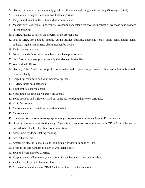- 27. Overall, the service is exceptionally good but attention should be given to staffing. (Shortage of staff).
- 28. Kana munhu asingazivi anofanirawo kutsanangurirwa.
- 29. They should maintain their standard of service, its fair.
- 30. Mashift enyu akasiyana kune vamwe vashandi vanobatsira vamwe vasingabatsiri zvachose saka zvinoda kuwongororwa.
- 31. ZIMRA just has to hasten the progress at the Border Post.
- 32. Nxa iZIMRA isola ukuba umuntu udlule lezinye impahla, abasetshe ibhasi lapho ecina khona hatshi endleleni ngoba yikuphuzisa abantu ngohambo lwabo.
- 33. Their services are good.
- 34. Some of the shifts serve in time, but others have poor service.
- 35. Shift 1 service is very poor especially the Manager Makunike.
- 36. Well trained officers.
- 37. Overally ZIMRA officers are professionals who do their jobs nicely. However there are individuals who do their jobs badly.
- 38. Keep it up. You must add your manpower please.
- 39. ZIMRA inoita basa nemazvo.
- 40. Tinokumbira shed yakanaka.
- 41. You should use English we aren't all Shonas.
- 42. Some sections and shift work hard but some are not doing their work seriously.
- 43. All is fair for me.
- 44. Improvement on all sections in section making.
- 45. Improvement.
- 46. KuCondep kunobhowa zvakanyanya nguva yacho yavanotora vasinganoiti maP.E. inowanda.
- 47. Other government organisations e.g. Agriculture. Bio must communicate with ZIMRA on information needed to be attached for client communication.
- 48. Assessment by dogs is taking too long.
- 49. Better than before.
- 50. Amatrucks athatha isikhathi eside ukuphuma e border, minimum yi 3hrs.
- 51. Treat us the same and try to listen to what clients say.
- 52. Splendid work done by ZIMRA.
- 53. Keep up the excellent work you are doing for the beloved nation of Zimbabwe.
- 54. Zvakanaka chose. Rambai makadaro.
- 55. In case of a sensitive query ZIMRA takes too long to make decisions.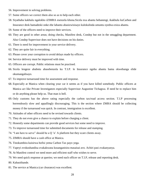- 56. Improvement in solving problems.
- 57. Some officers we correct them also so as to help each other.
- 58. Siyathaba kakhulu ngalokho iZIMRA esenzela khona.Sicela nxa abantu bebanengi, ikakhulu kuCarbon and Insurance desk bamadeski onke ebe labantu abasizwisisayo kulokulinda umuntu oyedwa esiza abantu.
- 59. Some of the officers need to improve their services.
- 60. They are good in other areas; doing checks, Manifest desk, Condep but not in the smuggling department. Also Condep Supervisor does not have decisions on his duties.
- 61. There is need for improvement in your service delivery.
- 62. They are quite fair in everything.
- 63. Please cover your corruption to avoid delays made by officers.
- 64. Service delivery must be improved with time.
- 65. Officers are corrupt. Public relations must be practised.
- 66. Sicela lengeze ababntu abasebenzela ku T.I.P. le Insurance ngoba abantu bama okwebanga elide okumangalisayo.
- 67. To improve turnaround time for assessment and response.
- 68. Especially at Manica when clearing your car it seems as if you have killed somebody. Public officers at Manica act like Private Investigators especially Supervisor Augustine Tichagwa. If need be to replace him or do anything please help us. That man is hell.
- 69. Only customs has the above rating especially the carbon tax/road access section. T.I.P processing horrendously slow and appallingly discouraging. This is the section where ZMRA should be collecting money if the turnaround was quick. In contrast, immigration is excellent.
- 70. Attitudes of other officers need to be revised towards clients.
- 71. They do not even give a chance to explain before charging a client.
- 72. Honestly some departments can provide good services but some need to improve.
- 73. To improve turnaround time for submitted documents for release and stamping.
- 74. "I am here to serve" should be a Q 'n' A platform but they scare clients away.
- 75. ZIMRA should have a cash office at Manica.
- 76. Tinokumbira kuisirwa hofisi yema Carbon Tax payo yega.
- 77. Vapeyi zvokushandisa zvakakwana kusanganisira masaisai avo. Achiri pasi zvakanyanya.
- 78. At Manifest control we need more and efficient staff who wishes to serve.
- 79. We need quick response at queries; we need each officer on T.I.P, release and reporting desk.
- 80. Kabasithande.
- 81. The service at Manica (car clearance) was excellent.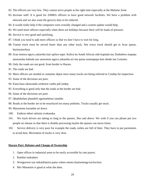- 82. The officers are very few. They cannot serve people at the right time especially at the Malume Zone.
- 83. Increase staff. It is good for ZIMRA officers to have good network facilities. We have a problem with network and we also want the grocery duty to be reduced.
- 84. It would really help if the computers were overally changed and a system update would help.
- 85. We need more officers especially when there are holidays because there will be loads of pressure.
- 86. Service is very good and satisfying.
- 87. I think you need to add more officers so that we don't have to wait for long.
- 88. Transit truck must be served faster than any other truck. Not every truck should get in Scan queue, hayinyatsofaya.
- 89. Scan inotora nguva yakareba kuti upfure napo. Kubva ku South African side kupinda mu Zimbabwe mapepa anononoka kubuda uye unozotora nguva yakareba uri mu queue unemapepa kuti ubude mu Customs.
- 90. Only the roads are not good, from border to Harare.
- 91. The roads are bad.
- 92. More officers are needed at container depot since many trucks are being referred to Condep for inspection.
- 93. Some of the decisions are poor.
- 94. Kana basa rakawanda wedzerai vanhu paCondep.
- 95. Everything is good only that the roads at the border are bad.
- 96. Some of the decisions are poor.
- 97. Qhubekelani phambili ngomsebenzi omuhle.
- 98. Roads at the border are to be resurfaced too many potholes. Trucks usually get stuck.
- 99. Masystems kuramba ari down.
- 100. Enderai mberi nekuita zvakanaka.
- 101. We truck drivers are taking so long in the queues, 5hrs and above. We wish if you can please put two people on release so that there is double processing maybe the queues can move faster.
- 102. Service delivery is very poor for example the roads, toilets are full of litter. They have to put pavements to avoid dust. Movement of trucks is very slow.

#### **Harare Port: Rebates and Change of Ownership**

- 1. Open offices in industrial areas to be easily accessible by rate payers.
- 2. Rambai makadaro.
- 3. Wongororai uye nekutibatsira pama values emota dzatinotenga kuAuction.
- 4. Mrs Manatsire is good at what she does.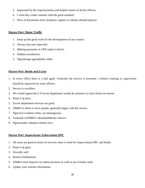- 5. Impressed by the responsiveness and helpful nature of all the officers.
- 6. I wish they could continue with the good standard.
- 7. Flow of documents from reception, registry to rebates should improve.

# **Harare Port: Motor Traffic**

- 1. Keep up the good work for the development of our country.
- 2. Always fast and respectful.
- 3. Making payments at CBZ makes it hectic.
- 4. Ndafara norubatsiro.
- 5. Ngiyabonga ngemphatho enhle.

# **Harare Port: Bonds and Excise**

- 1. In every office there is a bad apple. Generally the service is awesome. I believe training or supervision should be improved on some officers.
- 2. Service is excellent.
- 3. We would appreciate it if excise department would do seminars to train clients on returns.
- 4. Keep it up guys.
- 5. Excise department services are good.
- 6. ZIMRA is there to serve people, generally happy with the service.
- 7. Ngazvive zvanhasi chete, asi namangwana .
- 8. Vashandi veZIMRA vakashambidzika chaizvo.
- 9. Ngavarambe vakadaro nebasa ravo.

# **Harare Port: Inspectorate/ Enforcement DPC**

- 1. All areas are good in terms of services; there is need for improvement DPC and bonds.
- 2. Keep it up guys.
- 3. Overally well.
- 4. Remove bottlenecks.
- 5. ZIMRA must improve on online presence as well as use of bank cards.
- 6. Update your website information.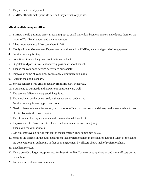- 7. They are not friendly people.
- 8. ZIMRA officials make your life hell and they are not very polite.

#### **Mhlahlandlela complex offices**

- 1. ZIMRA should put more effort in reaching out to small individual business owners and educate them on the issues of Tax Remittances' and their advantages.
- 2. It has improved since I first came here in 2011.
- 3. If only all other Government Departments could work like ZIMRA, we would get rid of long queues.
- 4. Service delivery is okay.
- 5. Sometimes it takes long. You are told to come back.
- 6. Gugulethu Mpofu is excellent and very passionate about her job.
- 7. Thanks for your good service delivery to our society.
- 8. Improve in some of your areas for instance communication skills.
- 9. Keep up the good standard.
- 10. Service rendered was great especially from Mrs S.M. Muzavazi.
- 11. You attend to our needs and answer our questions very well.
- 12. The service delivery is very good, keep it up.
- 13. Too much vernacular being used, at times we do not understand.
- 14. Service delivery is getting poor and poor.
- 15. Need to have adequate forms at your customs office, its poor service delivery and unacceptable to ask clients. To make their own copies.
- 16. The attitude in this organisation should be maintained. Excellent…
- 17. Improve on C.G.T assessments released and assessment delays on signing.
- 18. Thank you for your services.
- 19. Can you improve on documents sent to management? They sometimes delay.
- 20. Most of the officers in the audit department lack professionalism in the field of auditing. Most of the audits are done without an audit plan. In fact poor engagement by officers shows lack of professionalism.
- 21. Excellent services.
- 22. Please provide a larger reception area for busy times like Tax clearance application and more officers during those times.
- 23. Pull up your socks on customer care.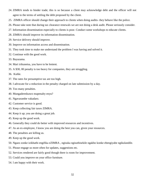- 24. ZIMRA tends to hinder trade; this is so because a client may acknowledge debt and the officer will not agree to the terms of settling the debt proposed by the client.
- 25. ZIMRA officer should change their approach to clients when doing audits- they behave like the police.
- 26. Please take note that during tax clearance renewals we are not doing a desk audit. Please seriously consider.
- 27. Information dissemination especially to clients is poor. Conduct some workshops to educate clients.
- 28. ZIMRA should improve its information dissemination.
- 29. Service delivery should improve.
- 30. Improve on information access and dissemination.
- 31. They took time to make me understand the problem I was having and solved it.
- 32. Continue with the good work.
- 33. Bayazama.
- 34. Mari irikunetsa, you have to be lenient.
- 35. A \$30, 00 penalty is too heavy for companies, they are struggling.
- 36. Kuhle.
- 37. The rates for presumptive tax are too high.
- 38. I advocate for a reduction in the penalty charged on late submission by a day.
- 39. Too many penalties.
- 40. Mungaderedzawo mapenalty enyu?
- 41. Ngavarambe vakadaro.
- 42. Customer service is good.
- 43. Keep collecting fair taxes ZIMRA.
- 44. Keep it up; you are doing a great job.
- 45. Keep up the good work.
- 46. Generally they could do better with improved resources and incentives.
- 47. As an ex-employee, I know you are doing the best you can, given your resources.
- 48. The penalties are killing us.
- 49. Keep up the good work.
- 50. Ngazo zonke izikhathi engifika eZIMRA , ngisuka ngisuthisekile ngakho konke ebengiyabe ngikulandile.
- 51. Please engage us more often for updates, suggestions etc.
- 52. Services rendered are fairly good though there is room for improvement.
- 53. Could you improve on your office furniture.
- 54. I am happy with their work.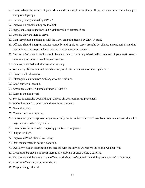- 55. Please advise the officer at your Mhlahlandlela reception to stamp all papers because at times they just stamp one top copy.
- 56. It is scary being audited by ZIMRA.
- 57. Improve on penalties they are too high.
- 58. Ngiyajabula ngokuphathwa kahle yizisebenzi ze Customer Care.
- 59. For sure they are there to serve.
- 60. I am very pleased and happy with the way I am being treated by ZIMRA staff.
- 61. Officers should interpret statutes correctly and apply to cases brought by clients. Departmental standing instructions have no precedence over enacted statutory instruments.
- 62. Election of officers in audits should be according to merit or professionalism as most of your staff doesn't have an appreciation of auditing and taxation.
- 63. I am very satisfied with their service delivery.
- 64. We have problems in situations where we, as clients are unaware of new regulations.
- 65. Please email information.
- 66. Sikhangelele ukunxuswa emhlanganweni wezifundo.
- 67. Good service all around.
- 68. Amalunga e ZIMRA kumele afunde isiNdebele.
- 69. Keep up the good work.
- 70. Service is generally good although there is always room for improvement.
- 71. We look forward to being invited to training seminars.
- 72. Generally good.
- 73. You can certainly improve.
- 74. Improve on your corporate image especially uniforms for other staff members. We can suspect them for bogus conmen when they visit us.
- 75. Please show fairness when imposing penalties to tax payers.
- 76. Duty is too high.
- 77. Improve ZIMRA clients' workshop.
- 78. Debt management is doing a good job.
- 79. Overally we as an organisation are pleased with the service we receive the people we deal with.
- 80. I request to be given a notice if there is any problem or error before a surprise.
- 81. The service and the way that the offices work show professionalism and they are dedicated to their jobs.
- 82. At times officers are a bit intimidating.
- 83. Keep up the good work.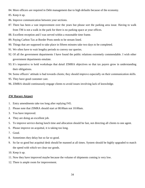84. More officers are required in Debt management due to high defaults because of the economy.

85. Keep it up.

- 86. Improve communication between your sections.
- 87. There has been a vast improvement over the years but please sort the parking area issue. Having to walk from TM is not a walk in the park for there is no parking space at your offices.
- 88. Excellent reception and I was served within a reasonable time frame.
- 89. Paying Carbon Tax at Border Posts needs to be stream lined.
- 90. Things that are supposed to take place in fifteen minutes take two days to be completed.
- 91. We often have to wait lengthy periods to convey our queries.
- 92. Of all the government departments I have found the public relations extremely commendable. I wish other government departments emulate.
- 93. It's imperative to hold workshops that detail ZIMRA objectives so that tax payers grow in understanding their obligations.
- 94. Some officers' attitude is bad towards clients; they should improve especially on their communication skills.
- 95. They have good customer care.
- 96. ZIMRA should continuously engage clients to avoid issues involving lack of knowledge.

#### **ZW Harare Airport**

- 1. Entry amendments take too long after replying F45.
- 2. Please note that ZIMRA should start at 08:00am not 10:00am.
- 3. You have improved.
- 4. They are doing an excellent job.
- 5. To improve service during lunch time and allocation should be fast, not directing all clients to one agent.
- 6. Please improve on acquittal, it is taking too long.
- 7. Good.
- 8. Sometimes they delay but so far so good.
- 9. So far so good but acquittal desk should be manned at all times. System should be highly upgraded to match the speed with which we clear our goods.
- 10. Keep it up.
- 11. Now they have improved maybe because the volume of shipments coming is very low.
- 12. There is ample room for improvement.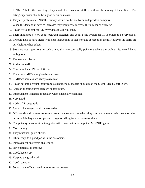- 13. If ZIMRA holds their meetings, they should leave skeleton staff to facilitate the serving of their clients. The acting supervisor should be a good decision maker.
- 14. They are professional. NB This survey should not be one by an independent company.
- 15. When the demand in service increases may you please increase the number of officers?
- 16. Please try to be fast for P.E. Why does it take you long?
- 17. There should be a "very good" between Excellent and good. I find overall ZIMRA services to be very good.
- 18. It would help to have signs with clear instructions of steps to take at reception areas. However the staffs are very helpful when asked.
- 19. Structure your questions in such a way that one can really point out where the problem is. Avoid being ambiguous.
- 20. The service is better.
- 21. Add more staff.
- 22. You should start PE's at 8:00 hrs.
- 23. Vanhu veZIMRA vanogona basa zvawo.
- 24. ZIMRA's services are always excellent.
- 25. Please put into account input from stakeholders. Managers should read the Slight Edge by Jeff Olsen.
- 26. Keep on flighting press releases on tax issues.
- 27. Improvement is needed especially when physically examined.
- 28. Very good
- 29. Add staff in acquittals.
- 30. System challenges should be worked on.
- 31. Officers should request assistance from their supervisors when they are overwhelmed with work on their desks which they man as opposed to agents calling for assistance for them.
- 32. Computer systems must be integrated with those that must be put at AGS/NHS gates.
- 33. More money.
- 34. They must not ignore clients.
- 35. I think they do a good job with the customers.
- 36. Improvement on system challenges.
- 37. Have potential to improve.
- 38. Good, keep it up.
- 39. Keep up the good work.
- 40. Good reception.
- 41. Some of the officers need more refresher courses.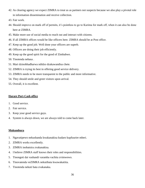- 42. As clearing agency we expect ZIMRA to treat us as partners not suspects because we also play a pivotal role in information dissemination and receive collection.
- 43. Fair work.
- 44. Should improve on mark off of permits, it's pointless to go to Kurima for mark off, when it can also be done here at ZIMRA.
- 45. Make more use of social media to reach out and interact with citizens.
- 46. If all ZIMRA offices would be like officers here. ZIMRA should be at Post office.
- 47. Keep up the good job. Well done your officers are superb.
- 48. Officers are doing their job efficiently.
- 49. Keep up the good spirit for the good of Zimbabwe.
- 50. Tinotenda nebasa .
- 51. Mari dzinobhadharwa ndidzo dzakawandisa chete.
- 52. ZIMRA is trying its best in offering good service delivery.
- 53. ZIMRA needs to be more transparent to the public and more informative.
- 54. They should smile and greet visitors upon arrival.
- 55. Overall, it is excellent.

# **Harare Port-Cash office**

- 1. Good service.
- 2. Fair service.
- 3. Keep your good service guys.
- 4. System is always down, we are always told to come back later.

# **Mukumbura**

- 1. Ngavatipewo nekushanda kwakanakisa kudaro kupfuurire mberi.
- 2. ZIMRA works excellently.
- 3. ZIMRA inobatsira zvakanakisa.
- 4. I believe ZIMRA staff knows their roles and responsibilities.
- 5. Tinongoti dai vashandi varamba vachita zvimwewo.
- 6. Tinovatenda veZIMRA nekutibata kwawakatiita.
- 7. Tinotenda nekuti bata zvakanaka.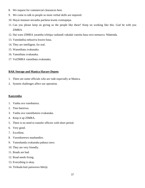- 8. We request for commercial clearances here.
- 9. We come to talk to people so more verbal skills are required.
- 10. Huyai mutaure nevanhu pachena kwete zvemapepa.
- 11. Can you please keep on giving us the people like these? Keep on working like this. God be with you ZIMRA.
- 12. Dai waro ZIMRA yaramba ichitipa vashandi vakadai vanoita basa ravo nemazva. Ndatenda.
- 13. Vanodadisa nekuziva kwavo basa.
- 14. They are intelligent, for real.
- 15. Wanotibata zvakanaka.
- 16. Vanotibata zvakanaka.
- 17. VeZIMRA vanotibata zvakanaka.

# **BAK Storage and Manica-Harare Depots**

- 1. There are some officials who are rude especially at Manica.
- 2. System challenges affect our operation.

# **Kanyemba**

- 1. Vanhu ava vanobatsira.
- 2. Tino batsirwa.
- 3. Vanhu ava vanotibatsira zvakanaka.
- 4. Keep it up ZIMRA.
- 5. There is no need to transfer officers with short period.
- 6. Very good.
- 7. Excellent.
- 8. Vawedzerewo mashandiro.
- 9. Vanoshanda zvakanaka pabasa rawo.
- 10. They are very friendly.
- 11. Roads are bad.
- 12. Road needs fixing.
- 13. Everything is okay.
- 14. Tirikuda kuti paiswewo bhiriji.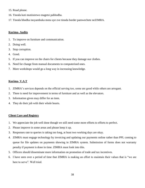- 15. Road please.
- 16. Tinoda kuti mutiisirewo magetsi pabhodha.
- 17. Tinoda bhodha inoyambuka mota uye zve tinoda border pamwechete neZIMRA.

# **Kurima- Audits**

- 1. To improve on furniture and communication.
- 2. Doing well.
- 3. Stop corruption.
- 4. Good.
- 5. If you can improve on the chairs for clients because they damage our clothes.
- 6. Need for change from manual documents to computerised ones.
- 7. More workshops would go a long way in increasing knowledge.

# **Kurima- V.A.T**

- 1. ZIMRA's services depends on the official serving too, some are good while others are arrogant.
- 2. There is need for improvement in terms of furniture and as well as the elevators.
- 3. Information given may differ for an item.
- 4. They do their job with their whole hearts.

# **Client Care and Registry**

- 1. We appreciate the job well done though we still need some more efforts to efforts to perfect.
- 2. Please improve in some areas and please keep it up.
- 3. Responses rate to queries is taking too long, at least two working days are okay.
- 4. ZIMRA must engage technology by invoicing and updating our payments online rather than PPL coming to queue for file updates on payments showing in ZIMRA system. Submission of forms does not warranty penalty if payment is done in time. ZIMRA must look into this.
- 5. Officers should disseminate more information on promotion of trade and tax incentives.
- 6. I have seen over a period of time that ZIMRA is making an effort to maintain their values that is "we are here to serve". Well tried.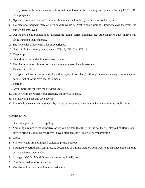- 7. Kindly assist with online account vetting with emphasis on the reducing time when collecting ITF263. Be more pragmatic.
- 8. Ngavazive kuti rwadziso yavo haireve chinhu, mari ichinetsa uye ichibva kunze kwenyika.
- 9. Tax clearance periods where officers on duty would be great to avoid waiting. Otherwise over the years, the service has improved.
- 10. Dai kukava nema booklet anoti tsanangurira kuma office atinoenda nezvatinosungirwa kuve tinazvo kuti tirege kuramba tichitenderera.
- 11. She is a senior officer with a lot of experience".
- 12. Nguva iri kuita shoma yavanopa pama ITF 16, ITF 12and ITF 12c.
- 13. Keep it up.
- 14. Should improve on the time response to letters.
- 15. The charges are too high too and uneconomic to attract local investment.
- 16. Thanks for the help.
- 17. I suggest that we are informed about developments or changes through emails for easy communication because not all of us have access to media.
- 18. There is
- 19. Great improvement from the previous years.
- 20. It differs with the Officers but generally the service is good.
- 21. To visit companies and give advice.
- 22. Try to help the small entrepreneurs by means of accommodating them when it comes to tax obligations.

# **Kurima L.C.O**

- 1. Generally good services. Keep it up.
- 2. You bring a return to the respective office you are told that the return is not there. I stay out of Harare and I have to bring this missing return yet I have a stamped copy- this is very embarrassing.
- 3. Good.
- 4. Visitors' chairs are not in good condition please improve.
- 5. You need to periodically sent practice documents or putting them on your website to enhance understanding of the tax issues practically.
- 6. Manager LCO Mr Mandu's service was exceptionally good.
- 7. Your information must be uniform.
- 8. Vanofanira kunzwisisa kuti zvinhu zvakaoma.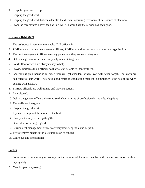- 9. Keep the good service up.
- 10. Keep up the good work.
- 11. Keep up the good work but consider also the difficult operating environment in issuance of clearance.
- 12. From the few months I have dealt with ZIMRA, I would say the service has been good.

# **Kurima – Debt MGT**

- 1. The assistance is very commendable. If all officers in
- 2. ZIMRA were like debt management officers, ZIMRA would be ranked as an incorrupt organisation.
- 3. The debt management officers are very patient and they are very intergrous.
- 4. Debt management officers are very helpful and intergrous.
- 5. Fourth floor officers are always ready to help.
- 6. Provide uniforms to all officers so that we can be able to identify them.
- 7. Generally if your house is in order, you will get excellent service you will never forget. The staffs are dedicated to their work. They have good ethics in conducting their job. Compliance is the best thing when dealing with ZIMRA.
- 8. ZIMRA officials are well trained and they are patient.
- 9. I am pleased.
- 10. Debt management officers always raise the bar in terms of professional standards. Keep it up.
- 11. The staffs are intergrous.
- 12. Keep up the good work.
- 13. If you are compliant the service is the best.
- 14. Slowly but surely we are getting there.
- 15. Generally everything is good.
- 16. Kurima debt management officers are very knowledgeable and helpful.
- 17. Try to remove penalties for late submission of returns.
- 18. Courteous and professional.

# **Forbes**

- 1. Some aspects remain vague, namely on the number of items a traveller with rebate can import without paying duty.
- 2. Must keep on improving.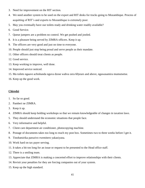- 3. Need for improvement on the RIT section.
- 4. We need another system to be used on the export and RIT desks for trucks going to Mozambique. Process of acquitting of RIT's and exports to Mozambique is extremely poor.
- 5. May you eventually have our toilets ready and drinking water readily available?
- 6. Good Service.
- 7. Queue jumpers are a problem no control. We get pushed and jostled.
- 8. It is a pleasure being served by ZIMRA officers. Keep it up.
- 9. The officers are very good and just on time to everyone.
- 10. People should just stop being proud and serve people as their mandate.
- 11. Other officers should treat clients as people.
- 12. Good service.
- 13. Keep working to improve, well done.
- 14. Improved service noticed.
- 15. Ma toilets ngaave achishanda nguva dzose wabva zera 60years and above, ngawasamira mumutsetse.
- 16. Keep up the good work.

#### **Chiredzi**

- 1. So far so good.
- 2. Pamberi ne ZIMRA.
- 3. Keep it up.
- 4. ZIMRA should keep holding workshops so that we remain knowledgeable of changes in taxation laws.
- 5. They should understand the economic situations that people face.
- 6. Very informative and helpful.
- 7. Client care department air conditioner, photocopying machine.
- 8. Postage of documents takes too long to reach my post box. Sometimes two to three weeks before I get it.
- 9. Tinobatsirika paruzivo rwemitero yakasiyana.
- 10. Work hard on tax payer serving.
- 11. It takes a bit too long for an issue or request to be presented to the Head office staff.
- 12. There is a smiling team.
- 13. Appreciate that ZIMRA is making a concerted effort to improve relationships with their clients.
- 14. Revisit your penalties for they are forcing companies out of your system.
- 15. Keep up the high standard.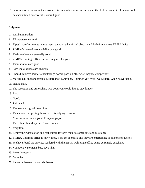16. Seasoned officers know their work. It is only when someone is new at the desk when a bit of delays could be encountered however it is overall good.

# **Chipinge**

- 1. Rambai makadaro.
- 2. Tikwereteseiwo mari.
- 3. Tipeyi marefreshments nemvura pa reception takamirira kubatsirwa. Machair enyu ekuZIMRA haite.
- 4. ZIMRA's general service delivery is good.
- 5. Their services are generally good.
- 6. ZIMRA Chipinge offices service is generally good.
- 7. Their services are good.
- 8. Basa renyu rakanakisa chaizvo.
- 9. Should improve service at Beitbridge border post but otherwise they are competitive.
- 10. Mafiles edu anozongorasika. Mutare inoti iChipinge, Chipinge yoti zviri kwa Mutare. Gadzirisayi ipapo.
- 11. Hatina mari.
- 12. The reception and atmosphere was good you would like to stay longer.
- 13. Fair.
- 14. Good.
- 15. Zviri nani.
- 16. The service is good. Keep it up.
- 17. Thank you for opening this office it is helping us so well.
- 18. Your furniture is not good. Chinjayi ipapo.
- 19. The office should operate 7days a week.
- 20. Very fair.
- 21. I enjoy their dedication and enthusiasm towards their customer care and assistance.
- 22. ZIMRA Chipinge office is fairly good. Very co-operative and they are entertaining to all sorts of queries.
- 23. We have found the services rendered with the ZIMRA Chipinge office being extremely excellent.
- 24. Vanogona vakomana basa ravo nhai.
- 25. Mukutiomesera.
- 26. Be lenient.
- 27. Please understand us on debt issues.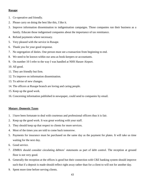# **Rusape**

- 1. Co-operative and friendly.
- 2. Please carry on doing the best like this, I like it.
- 3. Improve information dissemination to indigenisation campaigns. Those companies run their business as a family. Educate those indigenised companies about the importance of tax remittance.
- 4. Refund payments where necessary.
- 5. Very pleased with the service in Rusape.
- 6. Thank you for your good response.
- 7. No segregation of duties. One person must see a transaction from beginning to end.
- 8. We need to be known within our area as book-keepers or accountants.
- 9. On number 10 I refer to the way I was handled at NHS Harare Airport.
- 10. All good.
- 11. They are friendly but firm.
- 12. To improve on information dissemination.
- 13. To advise of new changes.
- 14. The officers at Rusape branch are loving and caring people.
- 15. Keep up the good work.
- 16. Concerning information published in newspaper, could send to companies by email.

#### **Mutare -Domestic Taxes**

- 1. I have been fortunate to deal with courteous and professional officers thus it is fair.
- 2. Keep up the good work. It was great working with your staff.
- 3. They should keep up that respect to clients for more services.
- 4. Most of the times you are told to come back tomorrow.
- 5. Payments for insurance must be purchased on the same day as the payment for plates. It will take us time waiting for the next day.
- 6. Good service.
- 7. ZIMRA should consider circulating debtors' statements as part of debt control. The reception at ground floor is not very good.
- 8. Generally the reception at the offices is good but their connection with CBZ banking system should improve such that if a deposit is made should reflect right away rather than for a client to will not for another day.
- 9. Spent more time before serving clients.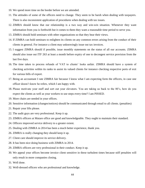- 10. We spend more time on the border before we are attended.
- 11. The attitudes of some of the officers need to change. They seem to be harsh when dealing with taxpayers. There is also inconsistent application of procedures when dealing with tax issues.
- 12. ZIMRA should know that our relationship is a two way and win-win situation. Whenever they want information from you is forthwith but it comes to them they want a reasonable time period to serve you.
- 13. ZIMRA should hold seminars with other organizations so that they hear their views.
- 14. If ZIMRA can hold seminars to enlighten its clients on any common errors arising from the conduct of their clients in general. For instance a client may unknowingly issue out tax invoices.
- 15. I suggest ZIMRA should if possible, issue monthly statements on the status of all our accounts. ZIMRA should also issue out ITF 263 at least a month before expiry of one to decongest service provision from the last five days.
- 16. The time taken to process refunds of VAT to clients' looks unfair. ZIMRA should have a system of checking activities within its ranks to assist its valued clients for instance checking respective ports of exit for various bills of export.
- 17. Being an accountant I rate ZIMRA fair because I know what I am expecting form the officers, in case one officer doesn't know he refers, which I am happy with.
- 18. Please motivate your staff and sort out your elevators. You are taking us back to the 80's, how do you expect the clients as well as your workers to use steps every time? I am PISSED.
- 19. More chairs are needed in your offices.
- 20. Sensitive information (changes/notices) should be communicated through email to all clients. (penalties)
- 21. Repair your lifts please.
- 22. The audit guys are very professional. Keep it up.
- 23. ZIMRA officers at Mutare office are good and knowledgeable. They ought to maintain their standard.
- 24. Officers improved service delivery to a greater extent.
- 25. Dealing with ZIMRA in 2014 has been a much better experience, thank you.
- 26. ZIMRA is really changing they should keep it up.
- 27. Client care should improve its service delivery.
- 28. It has been nice doing business with ZIMRA in 2014.
- 29. ZIMRA officers are very professional in their conduct. Keep it up.
- 30. We appeal your offices become invoice client sensitive in these turbulent times because stiff penalties will only result in more companies closing.
- 31. Well done.
- 32. Well-dressed officers who are professional and knowledge.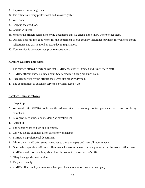- 33. Improve office arrangement.
- 34. The officers are very professional and knowledgeable.
- 35. Well done.
- 36. Keep up the good job.
- 37. God be with you.
- 38. Most of the officers refers us to bring documents that we clients don't know where to get them.
- 39. Officers keep up the good work for the betterment of our country. Insurance payment for vehicles should reflection same day to avoid an extra day in registration.
- 40. Your service is very poor you promote corruption.

#### **Kwekwe-Customs and excise**

- 1. The service offered clearly shows that ZIMRA has got well trained and experienced staff.
- 2. ZIMRA officers know no lunch hour. She served me during her lunch hour.
- 3. Excellent service by the officers they were also smartly dressed.
- 4. The commitment to excellent service is evident. Keep it up.

#### **Kwekwe- Domestic Taxes**

- 1. Keep it up.
- 2. We would like ZIMRA to be on the educate side to encourage us to appreciate the reason for being compliant.
- 3. I say guys keep it up. You are doing an excellent job.
- 4. Keep it up.
- 5. The penalties are so high and unethical.
- 6. Can you please enlighten us on dates for workshops?
- 7. ZIMRA is a professional department.
- 8. I think they should offer some incentives to those who pay and meet all requirements.
- 9. One male supervisor officer at Plumtree who works where ccs are processed is the worst officer ever. ZIMRA should do something about him; he works in the supervisor's office.
- 10. They have good client service.
- 11. They are friendly.
- 12. ZIMRA offers quality services and has good business relations with our company.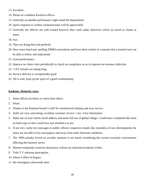- 13. Excellent.
- 14. Please air condition Kwekwe offices.
- 15. Generally acceptable performance right round the departments.
- 16. Quick response to written communication will be appreciated.
- 17. Generally the officers are well trained however they work under directives which are harsh to clients at times.
- 18. Fair.
- 19. They are doing their job perfectly.
- 20. Have more hand-outs spelling ZIMRA procedures and have them written in a manner that a normal man can be able to follow and understand.
- 21. Good performance.
- 22. Improve on client visits periodically to check on compliance so as to improve on revenue collection.
- 23. VAT refunds are taking long.
- 24. Service delivery is exceptionally good.
- 25. All is well, keep up the spirit of a good workmanship.

# **Kadoma- Domestic taxes**

- 1. Some offices are better or worse than others.
- 2. Smart.
- 3. Thanks to the Kadoma branch's staff for satisfactorily helping and your service.
- 4. Staffs are very welcoming, excellent customer service / care. Very informative.
- 5. Make use of your clients email address and make full use of global village. I could have completed this form on hard copy or they could have just emailed it to me.
- 6. If not very costly text messages to public officers respective emails like reminders of new developments for many are not able to buy newspapers and away from other electronic mediums.
- 7. The 100% penalty levied on overdue amounts is too harsh considering the current economic environment affecting the business sector.
- 8. Mamwe mapenalty avanoisa akanaynya zvikuru sei nekuoma kwakaita zvinhu.
- 9. Toda T.V yekuona pareception.
- 10. Sifuna I office eChegutu.
- 11. Itai misangano yakawanda nesu.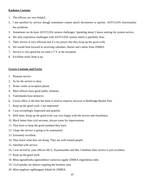# **Kadoma-Customs**

- 1. The officers are very helpful.
- 2. I am satisfied by service though sometimes cannot attach documents to queries. ASYCUDA functionality has problems.
- 3. Sometimes we do have ASYCUDA system challenges. Spending about 5 hours waiting for system service.
- 4. We only experience challenges with ASYCUDA system which is painfully slow.
- 5. Their service is very efficient and it's my prayer that they keep up the good work.
- 6. We would look forward to receiving calendars, diaries and t-shirts from ZIMRA.
- 7. Service is very good but we need a T.V at the reception.
- 8. Excellent work, keep it up.

# **Gweru-Customs and Excise**

- 1. Pleasant service.
- 2. So far the service is okay.
- 3. Water cooler at reception please.
- 4. Most officers have good public relations.
- 5. Vanoshanda basa nemazvo.
- 6. Gweru office is the best but there is need to improve services at Beitbridge Border Post.
- 7. Keep up the good work. I am impressed.
- 8. I was exceedingly impressed and grateful.
- 9. Well done. Keep up the good work was very happy with the service and cleanliness.
- 10. Much better than civil servants, always room for improvement.
- 11. They have to keep the good standard they have.
- 12. I hope the service is going to be maintained.
- 13. Extremely excellent.
- 14. They know what they are doing. They are well trained people.
- 15. Satisfied with service.
- 16. I was served by your officers Mr E. Nyamutambo and Mrs Chimbare their service is just excellent.
- 17. Keep up the good work.
- 18. Mina ngisuthiseka ngomsebenzi uyenziwa ngabe ZIMRA engisebenza labo.
- 19. Civil penalty are almost crippling the business area.
- 20. Mina angikaze ngihlangane lobubi be ZIMRA.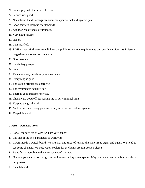- 21. I am happy with the service I receive.
- 22. Service was good.
- 23. Ndakafarira kunditsanangurira zvandaida pamwe nekundinyorera pasi.
- 24. Good services, keep up the standards.
- 25. Aah mari yakawandisa yamunoda.
- 26. Very good service.
- 27. Happy.
- 28. I am satisfied.
- 29. ZIMRA must find ways to enlighten the public on various requirements on specific services. As in issuing magazines and other press material.
- 30. Good service.
- 31. I wish they prosper.
- 32. Super.
- 33. Thank you very much for your excellence.
- 34. Everything is good.
- 35. The young officers are energetic.
- 36. The treatment is actually fair.
- 37. There is good customer service.
- 38. I had a very good officer serving me in very minimal time.
- 39. Keep up the good work.
- 40. Banking system is very poor and slow, improve the banking system.
- 41. Keep doing well.

# **Gweru – Domestic taxes**

- 1. For all the services of ZIMRA I am very happy.
- 2. It is one of the best parastatals to work with.
- 3. Gweru needs a switch board. We are sick and tired of raising the same issue again and again. We need to see some changes. We need water coolers for us clients. Action. Action please.
- 4. Be as fair as possible in the enforcement of tax laws.
- 5. Not everyone can afford to go on the internet or buy a newspaper. May you advertise on public boards or put posters.
- 6. Switch board.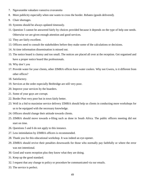- 7. Ngavarambe vakadaro vanoziva zvavanoita
- 8. More publicity especially when one wants to cross the border. Rebates (goods delivered).
- 9. Chair shortages.
- 10. Systems should be always updated timeously.
- 11. Question 5 cannot be answered fairly by choices provided because it depends on the type of help one needs. Otherwise we are given enough attention and good services.
- 12. They are fairly excellent.
- 13. Officers need to consult the stakeholders before they make some of the calculations or decisions.
- 14. At time information dissemination is missed out.
- 15. The notice board is clumsy and too small. The notices are placed all over at the reception. Get organised and have a proper notice board like professionals.
- 16. Why don't you
- 17. Provide water for your clients, other ZIMRA offices have water coolers. Why not Gweru, is it different from other offices?
- 18. Satisfactory.
- 19. Services at the order especially Beitbridge are still very poor.
- 20. Improve your services by the boarders.
- 21. Some of your guys are corrupt.
- 22. Border Post very poor but in town fairly better.
- 23. Well in a bid to maximise service delivery ZIMRA should help us clients in conducting more workshops for us to be equipped with the necessary knowledge.
- 24. Officers should change their attitude towards clients.
- 25. ZIMRA should move towards e-filing such as done in South Africa. The public officers meeting did not start on time.
- 26. Questions 5 and 6 do not apply to this instance.
- 27. Less intimidation by ZIMRA officers is recommended.
- 28. Thank you for this educational workshop. It was indeed an eye-opener.
- 29. ZIMRA should revive their penalties downwards for those who normally pay faithfully or where the error was not intentional.
- 30. Good and warm reception plus they know what they are doing.
- 31. Keep up the good standard.
- 32. I request that any change to policy or procedure be communicated via our emails.
- 33. The service is perfect.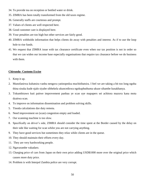- 34. To provide tea on reception or bottled water or drink.
- 35. ZIMRA has been totally transformed from the old taxes regime.
- 36. Generally staffs are courteous and prompt.
- 37. Values of clients are well respected here.
- 38. Good customer care is displayed here.
- 39. Your penalties are too high but other services are fairly good.
- 40. ZIMRA withholds information that helps clients do away with penalties and interest. As if to use the loop hole to rise funds.
- 41. We request that ZIMRA issue with tax clearance certificate even when our tax position is not in order so that we can widen our income base especially organisations that require tax clearance before we do business with them.

# **Chirundu- Customs Excise**

- 1. Keep it up.
- 2. Munofanirwa kubatsira vanhu nenguva yatinopedza muchitibatsira. I feel we are taking a bit too long ngoba thina sisuka kude njalo siyabe sibhekela ukuncediswa ngokuphuthuma ukuze sihambe kusakhanya.
- 3. Tokumbirawo kuti paitwe improvement panhau ye scan uye mapapers sei achitora mazuva kana mota dzaitwa scan.
- 4. To improve on information dissemination and problem solving skills.
- 5. Tinoda calculations dze duty remota.
- 6. Need improvement on (scan) congestion empty and loaded.
- 7. Our scanning machine is too slow.
- 8. Specifically on driver's side, ZIMRA should consider the time spent at the Border caused by the delay on their side like waiting for scan whilst you are not carrying anything.
- 9. They have good services but sometimes they relax while clients are in the queue.
- 10. They should maintain their efforts every day.
- 11. They are very hardworking people.
- 12. Ngavarambe vakadaro.
- 13. Charging price of cars from Japan on their own price adding USD\$1000 more over the original price which causes more duty price.
- 14. Problem is with Interpol Zambia police are very corrupt.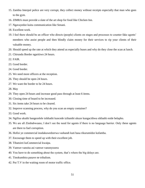- 15. Zambia Interpol police are very corrupt, they collect money without receipts especially that man who goes to the gym.
- 16. ZIMRA must provide a slate of the art shop for food like Chicken Inn.
- 17. Ngavayedze kuita communication like Senani.
- 18. Excellent work.
- 19. I feel there should be an officer who directs (people) clients on stages and processes to counter fake agents' members who assist people and then blindly claim money for their services to rip your clients of their valuable money.
- 20. Should speed up the rate at which they attend us especially buses and why do they close the scan at lunch.
- 21. Chirundu Border ngaritiwo 24 hours.
- 22. FAIR.
- 23. Good border.
- 24. Good border.
- 25. We need more officers at the reception.
- 26. They should be open 24 hours.
- 27. We want the border to be 24 hours.
- 28. May
- 29. They open 24 hours and increase good pass through at least 6 items.
- 30. Closing time of board to be increased.
- 31. Six items take 24 hours to be cleared.
- 32. Improve scanning process, why do you scan an empty container?
- 33. Good work.
- 34. Ngifisa ukuthi bangezelele isikhathi kuncede izihambi ukuze kungacithwa sikhathi eside belapho.
- 35. We are all Zimbabweans; I don't see the need for agents if there is no language barrier. Only these agents are there to fuel corruption.
- 36. Hofisi ye commercial inodakuwedzerwa vashandi kuti basa rikurumidze kufamba.
- 37. Encourage them to speed up with their excellent job.
- 38. Tibatsirei kuCommercial kwaipa.
- 39. Vamwe vanoita asi vamwe vanonyozera
- 40. You have to do something about the system, that's where the big delays are.
- 41. Tinokumbira pasave ne tribalism.
- 42. Put T.V in the waiting room of motor traffic office.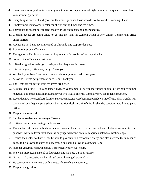- 43. Please scan is very slow in scanning our trucks. We spend almost eight hours in the queue. Please hasten your scanning process.
- 44. Everything is excellent and good but they must penalise those who do not follow the Scanning Queue.
- 45. Employ more manpower to cater for clients during lunch and tea times.
- 46. They must be taught how to treat mostly driver on transit and understanding.
- 47. Clearing agents are being asked to go into the land via Zambia which is very unfair. Commercial office under staffed.
- 48. Agents are not being recommended at Chirundu one stop Border Post.
- 49. Room to improve efficiency.
- 50. The agents of Zambian side need to improve notify people before they give help.
- 51. Some of the officers are just rude.
- 52. I like their good knowledge in their jobs but they must increase.
- 53. It is fairly good, I like everything. Thank you.
- 54. We thank you. Now Tanzanians do not take our passports when we pass.
- 55. Allow us 6 items per person on each item. Thank you.
- 56. The items are too few at least ten items are better.
- 57. Sekunge kana uine CD3 vanodamari uyezwe vanoramba ku server ma runner anoita kuti zvinhu zvifambe nenguva. Too much kuda mari kuma driver two tsuurai Interpol Zambia yenyu too much corruption.
- 58. Kuvandudzwa kwescan kuti ikasike. Panenge mutsetse warebesa ngapaendewo muofficers akati wandei kuti vachovhe basa. Nguva yese yebasa 6.am to 6pmdesk rese rinofanira kushanda, panofanirawo kunge paina officer.
- 59. Keep up the standard.
- 60. Rambai makadaro ne basa renyu. Tatenda.
- 61. Kutiwedzera zvinhu zvatinga buda nazvo.
- 62. Tinoda kuti tikwanise kubuda nezvinhu zvinodarika zvina. Tinotarisira kukasira kubatsirwa kana tasvika paborder. Musaite favour kubhadarisa duty ngazvienzane because maprice akafanana kwatinotenga.
- 63. Reduce their rates so that we can be able to pay duty to a reasonable charge and also increase the number of goods to be allowed to enter on duty free. You should allow at least 6 per item.
- 64. Number yezvinhu ngaiwedzerwe. Border ngarivhurwe 24 hours.
- 65. We want more items instead of four items and we need 24 hour service.
- 66. Ngava kasike kubatsira vanhu nekuti kumira kunenge kworwadza.
- 67. He can communicate freely with clients, advise what is necessary.
- 68. Keep up the good job.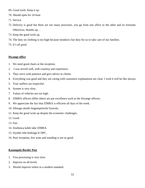- 69. Good work. Keep it up.
- 70. Should open for 24 hour
- 71. Service
- 72. Delivery is good but there are too many processes, you go from one office to the other and its tiresome. Otherwise, thumbs up…
- 73. Keep the good work up.
- 74. The duty on clothing is too high because tinodawo fair duty for us to take care of our families.
- 75. It's all good.

#### **Hwange office**

- 1. We need good chairs at the reception.
- 2. I was served well, with courtesy and experience.
- 3. They serve with patience and give advice to clients.
- 4. Everything was good and they are caring with customers explanations are clear. I wish it will be like always.
- 5. Your staffers are respectful.
- 6. System is very slow.
- 7. Values of vehicles are too high.
- 8. ZIMRA officers differ others are par excellence such as the Hwange officers.
- 9. We appreciate the fact that ZIMRA is efficient all days of the week.
- 10. Sibonga ukuthi langempelaviki liyavula.
- 11. Keep the good work up despite the economic challenges.
- 12. Good.
- 13. Fair.
- 14. Sisebenza kahle labe ZIMRA.
- 15. Siyathe sibe lenkinga le DPC.
- 16. Poor reception, few seats and standing is not so good.

# **Kazungula Border Post**

- 1. Visa processing is very slow.
- 2. Improve on all levels.
- 3. Should improve toilets to a modern standard.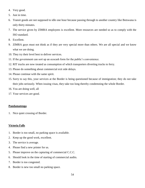- 4. Very good.
- 5. Just in time.
- 6. Transit goods are not supposed to idle one hour because passing through to another country like Botswana is only thirty minutes.
- 7. The service given by ZIMRA employees is excellent. More resources are needed so as to comply with the ISO standard.
- 8. Excellent.
- 9. ZIMRA guys must not think as if they are very special more than others. We are all special and we know what we are doing.
- 10. They try their level best to deliver services.
- 11. If the government can sort up an ecocash form for the public's convenience.
- 12. RIT trucks are now treated as consumption of which transporters diverting trucks to ferry.
- 13. Please do something about commercial exit side delays.
- 14. Please continue with the same spirit.
- 15. Sorry to say this, your services at the Border is being questioned because of immigration; they do not take their jobs seriously. When issuing visas, they take too long thereby condemning the whole Border.
- 16. You are doing well, all
- 17. Your services are good.

# **Pandamatenga**

1. Nice quiet crossing of Border.

# **Victoria Falls**

- 1. Border is too small, no parking space is available.
- 2. Keep up the good work, excellent.
- 3. The service is average.
- 4. Please find a new printer for us.
- 5. Please improve on the capturing of commercial C.C.C.
- 6. Should look in the time of starting of commercial audits.
- 7. Border is too congested.
- 8. Border is new too small no parking space.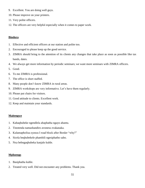- 9. Excellent. You are doing well guys.
- 10. Please improve on your printers.
- 11. Very polite officers.
- 12. The officers are very helpful especially when it comes to paper work.

# **Bindura**

- 1. Effective and efficient officers at our station and polite too.
- 2. Encouraged to please keep up the good service.
- 3. ZIMRA should bring to the attention of its clients any changes that take place as soon as possible like tax bands, dates.
- 4. We always get more information by periodic seminars; we want more seminars with ZIMRA officers.
- 5. Good.
- 6. To me ZIMRA is professional.
- 7. The office is short staffed.
- 8. Many people don't know ZIMRA in rural areas.
- 9. ZIMRA workshops are very informative. Let's have them regularly.
- 10. Please put chairs for visitors.
- 11. Good attitude to clients. Excellent work.
- 12. Keep and maintain your standards.

# **Maitengwe**

- 1. Kabaqhubeke ngendlela abaphatha ngayo abantu.
- 2. Tinotenda namashandiro avonesu zvakanaka.
- 3. Kulamapholisa eyenza I road block after Border "why?"
- 4. Sicela beqhubekele phambili ngesiphatho sabo.
- 5. Nxa bebngaqhubeka kanjalo kuhle.

# **Mphoengs**

- 1. Basiphatha kuhle.
- 2. Treated very well. Did not encounter any problems. Thank you.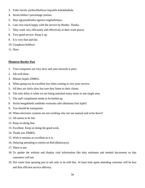- 3. Yebo isicelo yiyikwethuliswa imp;ahla kokukhathala.
- 4. Sicela lehlise I percentage yezinto.
- 5. Hayi ngiyasuthiseka ngosizo engilutholayo.
- 6. I am very much happy with the service by Border. Thanks.
- 7. They work very efficiently and effectively at their work places.
- 8. Very good service. Keep it up.
- 9. It is very fine and fair.
- 10. Liyaphuza bobhoyi.
- 11. Slow.

# **Plumtree Border Post**

- 1. Your computers are very slow and your network is poor.
- 2. Job well done.
- 3. Hlalani linjalo ZIMRA.
- 4. When going out its excellent but when coming in very poor service.
- 5. All they are fairly slow but sure they listen to their clients.
- 6. The only delay is when we are being searched many times in one single area.
- 7. The staff compliment needs to be beefed up.
- 8. Sicela bengakhethi umhlobo womuntu uthi ukhuluma limi luphi?
- 9. You should be transparent.
- 10. When electronic systems are not working why not use manual and write down?
- 11. All seems to be fair.
- 12. Keep on doing that.
- 13. Excellent. Keep on doing the good work.
- 14. Thank you ZIMRA.
- 15. Wish it remains as excellent as it is.
- 16. Delaying attending to entries on Red (Bulawayo).
- 17. There is nee
- 18. To update the website and display vital information like duty estimates and needed documents so that customers will see.
- 19. Not waste time queuing just to ask only to be told that. At least time spent attending customer will be less and thus efficient service delivery.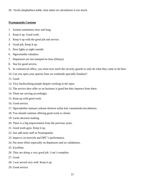20. Sicela ukuphathwa kahle, time taken on calculations is too much.

# **Nyamapanda Customs**

- 1. System sometimes slow and long.
- 2. Keep it up. Good work.
- 3. Keep it up with the good job and service.
- 4. Good job. Keep It up.
- 5. Poor lights at night outside.
- 6. Ngavarambe vakadaro.
- 7. Departures are not stamped on time (Delays).
- 8. Star for good service.
- 9. In commercial office, you must now teach the security guards to only do what they came to do here.
- 10. Can you open your queries lines on weekends specially Sundays?
- 11. Good.
- 12. Very hardworking people despite working in the open.
- 13. The service they offer us on business is good but they improve from there.
- 14. There are serving accordingly.
- 15. Keep up with good work.
- 16. Good service.
- 17. Ngavadzidze matuaro yekune dzimwe nyika kuti vasanetseka kuvabatsira.
- 18. You should continue offering good work to clients.
- 19. Lacks decision making.
- 20. There is a big improvement from the previous years.
- 21. Good work guys. Keep it up.
- 22. Just add more staff at Nyamapanda.
- 23. Improve on network and DPC's performance.
- 24. Put more effort especially on departures and on validations.
- 25. Excellent.
- 26. They are doing a very good job. I can't complain.
- 27. Good.
- 28. I was served very well. Keep it up.
- 29. Good service.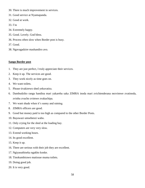- 30. There is much improvement in services.
- 31. Good service at Nyamapanda.
- 32. Good at work.
- 33. I'm
- 34. Extremely happy.
- 35. Good. Lovely. God bless.
- 36. Process often slow when Border post is busy.
- 37. Good.
- 38. Ngavagadzire mashandiro avo.

# **Sango Border post**

- 1. They are just perfect, I truly appreciate their services.
- 2. Keep it up. The services are good.
- 3. They work nicely as time goes on.
- 4. We want toilets.
- 5. Please tivakirewo shed yekuvatira.
- 6. Dambudziko rangu handina mari yakareba saka ZIMRA inoda mari zvichienderana nezvimwe zvatinoda, zvinhu zvacho zvimwe zvakachipa.
- 7. We want shade when it's sunny and raining.
- 8. ZIMRA officers are good.
- 9. Good but money paid is too high as compared to the other Border Posts.
- 10. Bayawazi umsebenzi wabo.
- 11. Only crying for the shed at the loading bay.
- 12. Computers are very very slow.
- 13. Extend working hours.
- 14. Its good excellent.
- 15. Keep it up.
- 16. There are serious with their job they are excellent.
- 17. Ngiyasuthiseka ngakho konke.
- 18. Tinokumbirawo matissue muma toilets.
- 19. Doing good job.
- 20. It is very good.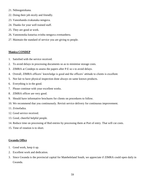- 21. Ndinogutsikana.
- 22. Doing their job nicely and friendly.
- 23. Vanoshanda zvakanaka nenguva.
- 24. Thanks for your well trained staff.
- 25. They are good at work.
- 26. Vanononoka kutarisa zvinhu nenguva zvemanheru.
- 27. Maintain the standard of service you are giving to people.

# **Manica CONDEP**

- 1. Satisfied with the service received.
- 2. To avoid delays in processing documents so as to minimise storage costs.
- 3. ZIMRA at Condeps to assess the papers after P.E so s to avoid delays.
- 4. Overall, ZIMRA officers' knowledge is good and the officers' attitude to clients is excellent.
- 5. Not fair to have physical inspection done always on same known products.
- 6. Everything is in the good.
- 7. Please continue with your excellent works.
- 8. ZIMRA officer are very good.
- 9. Should have informative brochures for clients on procedures to follow.
- 10. We recommend that you continuously. Revisit service delivery for continuous improvement.
- 11. Zvinofadza.
- 12. Good service received.
- 13. Good, cheerful helpful people.
- 14. Reduce time on processing of Red entries by processing them at Port of entry. That will cut costs.
- 15. Time of rotation is to short.

# **Gwanda Office**

- 1. Good work, keep it up.
- 2. Excellent work and dedication.
- 3. Since Gwanda is the provincial capital for Matebeleland South, we appreciate if ZIMRA could open daily in Gwanda.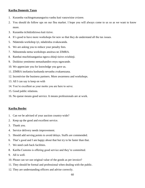#### **Kariba Domestic Taxes**

- 1. Kuramba vachingotsanangurira vanhu kuti vanzwisise zvizere.
- 2. You should do follow ups on our flea market. I hope you will always come to us so as we want to know more.
- 3. Kuramba tichidzidziswa kuti tizive.
- 4. It's good to have more workshops for new so that they do understand all the tax issues.
- 5. Ndatenda workshop iyi, ndadzidza zvakawanda.
- 6. We are asking you to reduce your penalty fees.
- 7. Ndinotenda nema workshops anoitwa ne ZIMRA.
- 8. Rambai muchitisanganisa nguva zhinji tizive zvizhinji.
- 9. Dzidziso yemitemo nemashandiro enyu ngawande.
- 10. We appreciate you for knowledge you gave us.
- 11. ZIMRA inofanira kushanda nevanhu zvakaenzana.
- 12. Incentivise the business partners. More awareness and workshops.
- 13. All I can say is keep on with
- 14. You're excellent as your motto you are here to serve.
- 15. Good public relations.
- 16. No queue means good service. It means professionals are at work.

#### **Kariba Border**

- 1. Can we be advised of your auction country-wide?
- 2. Keep up the good and excellent service.
- 3. Thank you.
- 4. Service delivery needs improvement.
- 5. Should add serving points to avoid delays. Staffs are commended.
- 6. That's good and I am happy about that but try to be faster than that.
- 7. We need cash back facilities.
- 8. Kariba Customs is offering good service and they're committed.
- 9. All is well.
- 10. Please can we use original value of the goods as per invoice?
- 11. They should be formal and professional when dealing with the public.
- 12. They are understanding officers and advise correctly.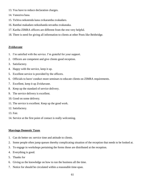- 13. You have to reduce declaration charges.
- 14. Vanoziva basa.
- 15. Tichiva nekutenda kana zvikaramba zvakadaro.
- 16. Rambai makadaro nekushanda nevanhu zvakanaka.
- 17. Kariba ZIMRA officers are different from the rest very helpful.
- 18. There is need for giving all information to clients at other Posts like Beitbridge.

# **Zvishavane**

- 1. I'm satisfied with the service. I'm grateful for your support.
- 2. Officers are competent and give clients good reception.
- 3. Satisfactory.
- 4. Happy with the service, keep it up.
- 5. Excellent service is provided by the officers.
- 6. Officials to have/ conduct more seminars to educate clients on ZIMRA requirements.
- 7. Excellent, keep it up Zvishavane.
- 8. Keep up the standard of service delivery.
- 9. The service delivery is excellent.
- 10. Good on some delivery.
- 11. The service is excellent. Keep up the good work.
- 12. Satisfactory.
- 13. Fair.
- 14. Service at the first point of contact is really welcoming.

# **Masvingo Domestic Taxes**

- 1. Can do better on: service time and attitude to clients.
- 2. Some people often jump queues thereby complicating situation of the reception that needs to be looked at.
- 3. To engage in workshops pertaining the forms those are distributed at the reception.
- 4. Everything is good.
- 5. Thanks for
- 6. Giving us the knowledge on how to run the business all the time.
- 7. Notice for should be circulated within a reasonable time-span.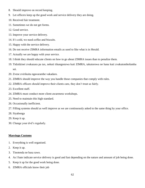- 8. Should improve on record keeping.
- 9. Let officers keep up the good work and service delivery they are doing.
- 10. Received fair treatment.
- 11. Sometimes we do not get forms.
- 12. Good service.
- 13. Improve your service delivery.
- 14. It's cold, we need coffee and biscuits.
- 15. Happy with the service delivery.
- 16. Do not receive ZIMRA information emails as used to like what is in Herald.
- 17. Actually we are happy with your service.
- 18. I think they should educate clients on how to go about ZIMRA issues than to penalize them.
- 19. Tidzidzisei zvakazara pa tax, nekuti tikangonzwa kuti ZIMRA, takutorowa ne hana kuti zvakutombofamba sei.
- 20. Zvese zvirikuita ngavarambe vakadaro.
- 21. ZIMRA should improve the way you handle those companies that comply with rules.
- 22. ZIMRA officers should improve their clients care, they don't treat us fairly.
- 23. Excellent staff.
- 24. ZIMRA must conduct more client-awareness workshops.
- 25. Need to maintain this high standard.
- 26. Occasionally inefficient.
- 27. Filling systems should as well improve as we are continuously asked to the same thing by your office.
- 28. Siyabonga
- 29. Keep it up.
- 30. Change your dvd's regularly.

# **Masvingo Customs**

- 1. Everything is well organised.
- 2. Keep it up.
- 3. Tinotenda ne basa rawo.
- 4. As I hate indicate service delivery is good and fast depending on the nature and amount of job being done.
- 5. Keep it up for the good work being done.
- 6. ZIMRA officials know their job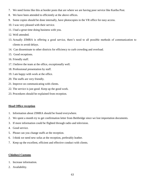- 7. We need forms like this at border posts that are where we are having poor service like Kariba Post.
- 8. We have been attended to efficiently at the above offices.
- 9. Some copies should be done internally, have photocopies in the VR office for easy access.
- 10. I was very pleased with their service.
- 11. I had a great time doing business with you.
- 12. Well attended.
- 13. Actually ZIMRA is offering a good service, there's need to all possible methods of communication to clients to avoid delays.
- 14. Can disseminate to other districts for efficiency to curb crowding and overload.
- 15. Good receptions.
- 16. Friendly staff.
- 17. I believe the team at the office, exceptionally well.
- 18. Professional presentation by staff.
- 19. I am happy with work at the office.
- 20. The staffs are very friendly.
- 21. Improve on communicating with clients.
- 22. The service is just good. Keep up the good work.
- 23. Procedures should be explained from reception.

# **Head Office reception**

- 1. Information about ZIMRA should be found everywhere.
- 2. We spent a month try to get confirmation letter from Beitbridge since we lost importation documents.
- 3. If more information could be flighted through radio and television.
- 4. Good service.
- 5. Please can you change staffs at the reception.
- 6. I think we need new sofas at the reception, preferably leather.
- 7. Keep up the excellent, efficient and effective conduct with clients.

# **Chinhoyi Customs**

- 1. Increase information.
- 2. Availability.